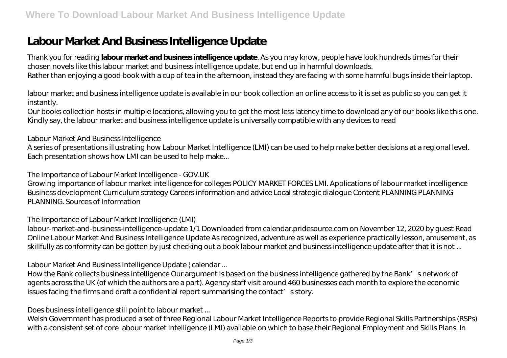# **Labour Market And Business Intelligence Update**

Thank you for reading **labour market and business intelligence update**. As you may know, people have look hundreds times for their chosen novels like this labour market and business intelligence update, but end up in harmful downloads. Rather than enjoying a good book with a cup of tea in the afternoon, instead they are facing with some harmful bugs inside their laptop.

labour market and business intelligence update is available in our book collection an online access to it is set as public so you can get it instantly.

Our books collection hosts in multiple locations, allowing you to get the most less latency time to download any of our books like this one. Kindly say, the labour market and business intelligence update is universally compatible with any devices to read

#### *Labour Market And Business Intelligence*

A series of presentations illustrating how Labour Market Intelligence (LMI) can be used to help make better decisions at a regional level. Each presentation shows how LMI can be used to help make...

## *The Importance of Labour Market Intelligence - GOV.UK*

Growing importance of labour market intelligence for colleges POLICY MARKET FORCES LMI. Applications of labour market intelligence Business development Curriculum strategy Careers information and advice Local strategic dialogue Content PLANNING PLANNING PLANNING. Sources of Information

## *The Importance of Labour Market Intelligence (LMI)*

labour-market-and-business-intelligence-update 1/1 Downloaded from calendar.pridesource.com on November 12, 2020 by guest Read Online Labour Market And Business Intelligence Update As recognized, adventure as well as experience practically lesson, amusement, as skillfully as conformity can be gotten by just checking out a book labour market and business intelligence update after that it is not ...

## *Labour Market And Business Intelligence Update | calendar ...*

How the Bank collects business intelligence Our argument is based on the business intelligence gathered by the Bank's network of agents across the UK (of which the authors are a part). Agency staff visit around 460 businesses each month to explore the economic issues facing the firms and draft a confidential report summarising the contact' s story.

#### *Does business intelligence still point to labour market ...*

Welsh Government has produced a set of three Regional Labour Market Intelligence Reports to provide Regional Skills Partnerships (RSPs) with a consistent set of core labour market intelligence (LMI) available on which to base their Regional Employment and Skills Plans. In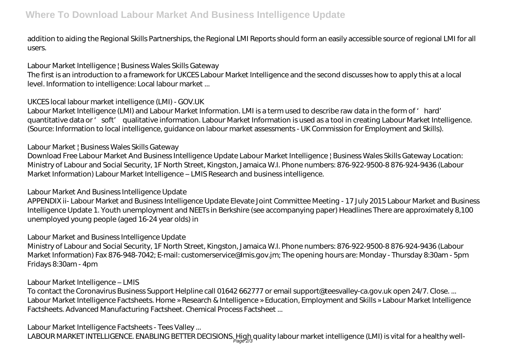addition to aiding the Regional Skills Partnerships, the Regional LMI Reports should form an easily accessible source of regional LMI for all users.

#### *Labour Market Intelligence | Business Wales Skills Gateway*

The first is an introduction to a framework for UKCES Labour Market Intelligence and the second discusses how to apply this at a local level. Information to intelligence: Local labour market ...

## *UKCES local labour market intelligence (LMI) - GOV.UK*

Labour Market Intelligence (LMI) and Labour Market Information. LMI is a term used to describe raw data in the form of 'hard' quantitative data or 'soft' qualitative information. Labour Market Information is used as a tool in creating Labour Market Intelligence. (Source: Information to local intelligence, guidance on labour market assessments - UK Commission for Employment and Skills).

## *Labour Market | Business Wales Skills Gateway*

Download Free Labour Market And Business Intelligence Update Labour Market Intelligence | Business Wales Skills Gateway Location: Ministry of Labour and Social Security, 1F North Street, Kingston, Jamaica W.I. Phone numbers: 876-922-9500-8 876-924-9436 (Labour Market Information) Labour Market Intelligence – LMIS Research and business intelligence.

## *Labour Market And Business Intelligence Update*

APPENDIX ii- Labour Market and Business Intelligence Update Elevate Joint Committee Meeting - 17 July 2015 Labour Market and Business Intelligence Update 1. Youth unemployment and NEETs in Berkshire (see accompanying paper) Headlines There are approximately 8,100 unemployed young people (aged 16-24 year olds) in

## *Labour Market and Business Intelligence Update*

Ministry of Labour and Social Security, 1F North Street, Kingston, Jamaica W.I. Phone numbers: 876-922-9500-8 876-924-9436 (Labour Market Information) Fax 876-948-7042; E-mail: customerservice@lmis.gov.jm; The opening hours are: Monday - Thursday 8:30am - 5pm Fridays 8:30am - 4pm

## *Labour Market Intelligence – LMIS*

To contact the Coronavirus Business Support Helpline call 01642 662777 or email support@teesvalley-ca.gov.uk open 24/7. Close. ... Labour Market Intelligence Factsheets. Home » Research & Intelligence » Education, Employment and Skills » Labour Market Intelligence Factsheets. Advanced Manufacturing Factsheet. Chemical Process Factsheet ...

## *Labour Market Intelligence Factsheets - Tees Valley ...*

LABOUR MARKET INTELLIGENCE. ENABLING BETTER DECISIONS. High quality labour market intelligence (LMI) is vital for a healthy well-